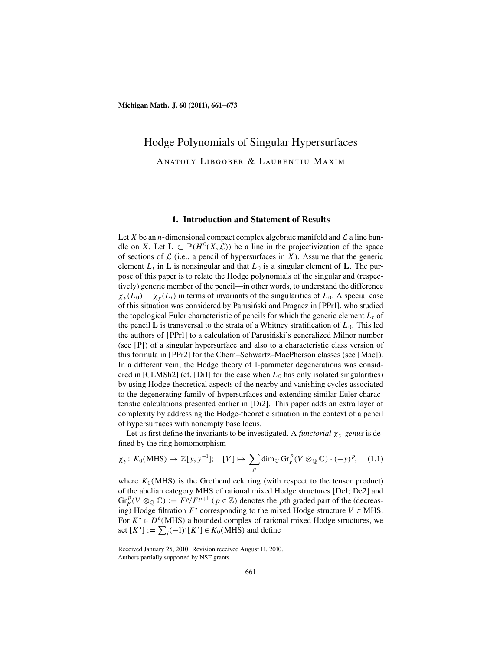# Hodge Polynomials of Singular Hypersurfaces Anatoly Libgober & Laurentiu Maxim

#### **1. Introduction and Statement of Results**

Let X be an *n*-dimensional compact complex algebraic manifold and  $\mathcal L$  a line bundle on X. Let  $\mathbf{L} \subset \mathbb{P}(H^0(X, \mathcal{L}))$  be a line in the projectivization of the space of sections of  $\mathcal L$  (i.e., a pencil of hypersurfaces in X). Assume that the generic element  $L_t$  in **L** is nonsingular and that  $L_0$  is a singular element of **L**. The purpose of this paper is to relate the Hodge polynomials of the singular and (respectively) generic member of the pencil—in other words, to understand the difference  $\chi_{y}(L_0) - \chi_{y}(L_t)$  in terms of invariants of the singularities of  $L_0$ . A special case of this situation was considered by Parusiński and Pragacz in [PPr1], who studied the topological Euler characteristic of pencils for which the generic element  $L_t$  of the pencil  $\bf{L}$  is transversal to the strata of a Whitney stratification of  $L_0$ . This led the authors of [PPr1] to a calculation of Parusing is generalized Milnor number (see [P]) of a singular hypersurface and also to a characteristic class version of this formula in [PPr2] for the Chern–Schwartz–MacPherson classes (see [Mac]). In a different vein, the Hodge theory of 1-parameter degenerations was considered in [CLMSh2] (cf. [Di1] for the case when  $L_0$  has only isolated singularities) by using Hodge-theoretical aspects of the nearby and vanishing cycles associated to the degenerating family of hypersurfaces and extending similar Euler characteristic calculations presented earlier in [Di2]. This paper adds an extra layer of complexity by addressing the Hodge-theoretic situation in the context of a pencil of hypersurfaces with nonempty base locus.

Let us first define the invariants to be investigated. A *functorial*  $\chi_{v}$ -genus is defined by the ring homomorphism

$$
\chi_{y} \colon K_{0}(\text{MHS}) \to \mathbb{Z}[y, y^{-1}]; \quad [V] \mapsto \sum_{p} \dim_{\mathbb{C}} \text{Gr}_{F}^{p}(V \otimes_{\mathbb{Q}} \mathbb{C}) \cdot (-y)^{p}, \quad (1.1)
$$

where  $K_0(MHS)$  is the Grothendieck ring (with respect to the tensor product) of the abelian category MHS of rational mixed Hodge structures [De1; De2] and  $\text{Gr}_F^p(V \otimes_{\mathbb{Q}} \mathbb{C}) := \frac{F^p}{F^{p+1}} (p \in \mathbb{Z})$  denotes the *p*th graded part of the (decreasing) Hodge filtration  $F^*$  corresponding to the mixed Hodge structure  $V \in MHS$ . For  $K^{\bullet} \in D^b(MHS)$  a bounded complex of rational mixed Hodge structures, we set  $[K^{\bullet}] := \sum_{i} (-1)^{i} [K^{i}] \in K_0(\text{MHS})$  and define

Received January 25, 2010. Revision received August 11, 2010.

Authors partially supported by NSF grants.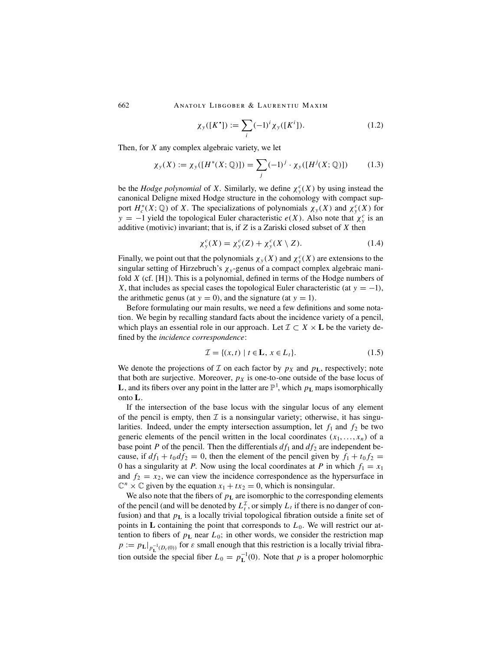$$
\chi_{y}([K^{\bullet}]) := \sum_{i} (-1)^{i} \chi_{y}([K^{i}]). \tag{1.2}
$$

Then, for X any complex algebraic variety, we let

$$
\chi_y(X) := \chi_y([H^*(X; \mathbb{Q})]) = \sum_j (-1)^j \cdot \chi_y([H^j(X; \mathbb{Q})]) \tag{1.3}
$$

be the *Hodge polynomial* of X. Similarly, we define  $\chi^c_y(X)$  by using instead the canonical Deligne mixed Hodge structure in the cohomology with compact support  $H_c^*(X; \mathbb{Q})$  of X. The specializations of polynomials  $\chi_y(X)$  and  $\chi_y^c(X)$  for y = -1 yield the topological Euler characteristic  $e(X)$ . Also note that  $\chi^c_y$  is an additive (motivic) invariant; that is, if  $Z$  is a Zariski closed subset of  $X$  then

$$
\chi_y^c(X) = \chi_y^c(Z) + \chi_y^c(X \setminus Z). \tag{1.4}
$$

Finally, we point out that the polynomials  $\chi_y(X)$  and  $\chi_y^c(X)$  are extensions to the singular setting of Hirzebruch's  $\chi_y$ -genus of a compact complex algebraic manifold  $X$  (cf. [H]). This is a polynomial, defined in terms of the Hodge numbers of X, that includes as special cases the topological Euler characteristic (at  $y = -1$ ), the arithmetic genus (at  $y = 0$ ), and the signature (at  $y = 1$ ).

Before formulating our main results, we need a few definitions and some notation. We begin by recalling standard facts about the incidence variety of a pencil, which plays an essential role in our approach. Let  $\mathcal{I} \subset X \times L$  be the variety defined by the *incidence correspondence*:

$$
\mathcal{I} = \{(x, t) \mid t \in \mathbf{L}, x \in L_t\}.
$$
\n
$$
(1.5)
$$

We denote the projections of  $\mathcal I$  on each factor by  $p_X$  and  $p_L$ , respectively; note that both are surjective. Moreover,  $p<sub>X</sub>$  is one-to-one outside of the base locus of **L**, and its fibers over any point in the latter are  $\mathbb{P}^1$ , which  $p_L$  maps isomorphically onto **L**.

If the intersection of the base locus with the singular locus of any element of the pencil is empty, then  $\mathcal I$  is a nonsingular variety; otherwise, it has singularities. Indeed, under the empty intersection assumption, let  $f_1$  and  $f_2$  be two generic elements of the pencil written in the local coordinates  $(x_1, \ldots, x_n)$  of a base point P of the pencil. Then the differentials  $df_1$  and  $df_2$  are independent because, if  $df_1 + t_0 df_2 = 0$ , then the element of the pencil given by  $f_1 + t_0 f_2 =$ 0 has a singularity at P. Now using the local coordinates at P in which  $f_1 = x_1$ and  $f_2 = x_2$ , we can view the incidence correspondence as the hypersurface in  $\mathbb{C}^n \times \mathbb{C}$  given by the equation  $x_1 + tx_2 = 0$ , which is nonsingular.

We also note that the fibers of  $p<sub>L</sub>$  are isomorphic to the corresponding elements of the pencil (and will be denoted by  $L_t^{\mathcal{I}}$ , or simply  $L_t$  if there is no danger of confusion) and that  $p<sub>L</sub>$  is a locally trivial topological fibration outside a finite set of points in  $\bf{L}$  containing the point that corresponds to  $L_0$ . We will restrict our attention to fibers of  $p_L$  near  $L_0$ ; in other words, we consider the restriction map  $p := p_L|_{p_L^{-1}(D_\varepsilon(0))}$  for  $\varepsilon$  small enough that this restriction is a locally trivial fibration outside the special fiber  $L_0 = p_{\text{L}}^{-1}(0)$ . Note that p is a proper holomorphic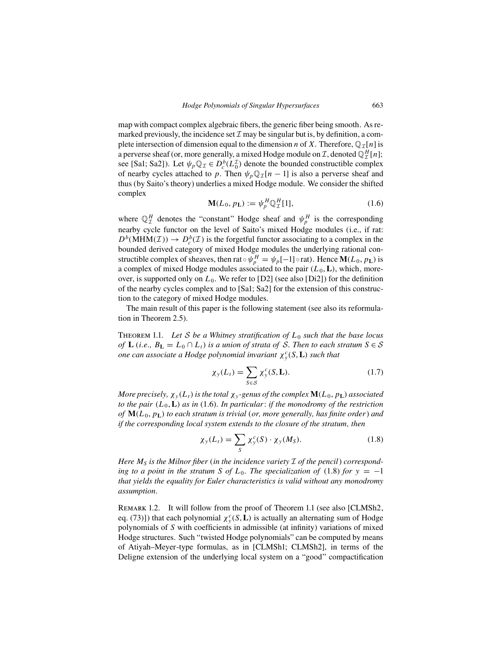map with compact complex algebraic fibers, the generic fiber being smooth. As remarked previously, the incidence set  $\mathcal I$  may be singular but is, by definition, a complete intersection of dimension equal to the dimension n of X. Therefore,  $\mathbb{Q}_{\mathcal{I}}[n]$  is a perverse sheaf (or, more generally, a mixed Hodge module on  $\mathcal{I}$ , denoted  $\mathbb{Q}_{\mathcal{I}}^H[n]$ ; see [Sa1; Sa2]). Let  $\psi_p \mathbb{Q}_\mathcal{I} \in D_c^b(L_0^{\mathcal{I}})$  denote the bounded constructible complex of nearby cycles attached to p. Then  $\psi_p \mathbb{Q}_T[n-1]$  is also a perverse sheaf and thus (by Saito's theory) underlies a mixed Hodge module. We consider the shifted complex

$$
\mathbf{M}(L_0, p_{\mathbf{L}}) := \psi_p^H \mathbb{Q}_{\mathcal{I}}^H[1],\tag{1.6}
$$

where  $\mathbb{Q}_{\mathcal{I}}^H$  denotes the "constant" Hodge sheaf and  $\psi_p^H$  is the corresponding nearby cycle functor on the level of Saito's mixed Hodge modules (i.e., if rat:  $D^b(\text{MHM}(\mathcal{I})) \to D_c^b(\mathcal{I})$  is the forgetful functor associating to a complex in the bounded derived category of mixed Hodge modules the underlying rational constructible complex of sheaves, then rat  $\circ \psi_p^H = \psi_p[-1] \circ \text{rat}$ ). Hence  $\mathbf{M}(L_0, p_{\mathbf{L}})$  is a complex of mixed Hodge modules associated to the pair  $(L_0, L)$ , which, moreover, is supported only on  $L_0$ . We refer to [D2] (see also [Di2]) for the definition of the nearby cycles complex and to [Sa1; Sa2] for the extension of this construction to the category of mixed Hodge modules.

The main result of this paper is the following statement (see also its reformulation in Theorem 2.5).

Theorem 1.1. *Let* S *be a Whitney stratification of* L<sup>0</sup> *such that the base locus of* **L** (*i.e.,*  $B_{\mathbf{L}} = L_0 \cap L_t$ ) *is a union of strata of* S. *Then to each stratum*  $S \in S$  $\sigma$  *one can associate a Hodge polynomial invariant*  $\chi^c_{\text{y}}(S, \mathbf{L})$  *such that* 

$$
\chi_{y}(L_t) = \sum_{S \in \mathcal{S}} \chi_{y}^{c}(S, \mathbf{L}).
$$
\n(1.7)

*More precisely,*  $\chi_y(L_t)$  *is the total*  $\chi_y$ -genus *of the complex*  $\mathbf{M}(L_0, p_{\mathbf{L}})$  *associated to the pair*  $(L_0, L)$  *as in* (1.6). *In particular: if the monodromy of the restriction of* **M**(L0, p**L**) *to each stratum is trivial* (*or, more generally, has finite order*) *and if the corresponding local system extends to the closure of the stratum, then*

$$
\chi_{y}(L_t) = \sum_{S} \chi_{y}^{c}(S) \cdot \chi_{y}(M_S). \qquad (1.8)
$$

*Here*  $M_S$  *is the Milnor fiber* (*in the incidence variety*  $\mathcal I$  *of the pencil*) *corresponding to a point in the stratum S of*  $L_0$ . *The specialization of* (1.8) *for*  $y = -1$ *that yields the equality for Euler characteristics is valid without any monodromy assumption.*

Remark 1.2. It will follow from the proof of Theorem 1.1 (see also [CLMSh2, eq. (73)]) that each polynomial  $\chi^c_y(S, L)$  is actually an alternating sum of Hodge polynomials of S with coefficients in admissible (at infinity) variations of mixed Hodge structures. Such "twisted Hodge polynomials" can be computed by means of Atiyah–Meyer-type formulas, as in [CLMSh1; CLMSh2], in terms of the Deligne extension of the underlying local system on a "good" compactification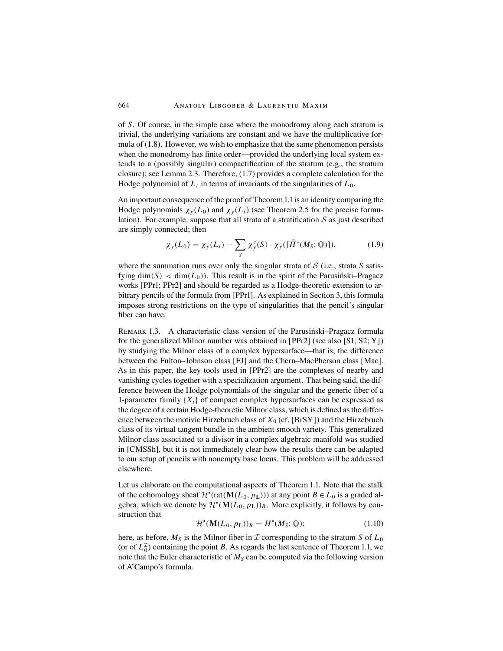of S. Of course, in the simple case where the monodromy along each stratum is trivial, the underlying variations are constant and we have the multiplicative formula of (1.8). However, we wish to emphasize that the same phenomenon persists when the monodromy has finite order—provided the underlying local system extends to a (possibly singular) compactification of the stratum (e.g., the stratum closure); see Lemma 2.3. Therefore, (1.7) provides a complete calculation for the Hodge polynomial of  $L_t$  in terms of invariants of the singularities of  $L_0$ .

An important consequence of the proof of Theorem 1.1 is an identity comparing the Hodge polynomials  $\chi_{y}(L_0)$  and  $\chi_{y}(L_t)$  (see Theorem 2.5 for the precise formulation). For example, suppose that all strata of a stratification  $S$  as just described are simply connected; then

$$
\chi_{y}(L_0) = \chi_{y}(L_t) - \sum_{S} \chi_{y}^{c}(S) \cdot \chi_{y}([\tilde{H}^*(M_S; \mathbb{Q})]), \qquad (1.9)
$$

where the summation runs over only the singular strata of  $S$  (i.e., strata  $S$  satisfying dim(S) < dim( $L_0$ )). This result is in the spirit of the Parusinski–Pragacz works [PPr1; PPr2] and should be regarded as a Hodge-theoretic extension to arbitrary pencils of the formula from [PPr1]. As explained in Section 3, this formula imposes strong restrictions on the type of singularities that the pencil's singular fiber can have.

REMARK 1.3. A characteristic class version of the Parusingski–Pragacz formula for the generalized Milnor number was obtained in [PPr2] (see also [S1; S2; Y]) by studying the Milnor class of a complex hypersurface—that is, the difference between the Fulton–Johnson class [FJ] and the Chern–MacPherson class [Mac]. As in this paper, the key tools used in [PPr2] are the complexes of nearby and vanishing cycles together with a specialization argument. That being said, the difference between the Hodge polynomials of the singular and the generic fiber of a 1-parameter family  ${X<sub>t</sub>}$  of compact complex hypersurfaces can be expressed as the degree of a certain Hodge-theoretic Milnor class, which is defined as the difference between the motivic Hirzebruch class of  $X_0$  (cf. [BrSY]) and the Hirzebruch class of its virtual tangent bundle in the ambient smooth variety. This generalized Milnor class associated to a divisor in a complex algebraic manifold was studied in [CMSSh], but it is not immediately clear how the results there can be adapted to our setup of pencils with nonempty base locus. This problem will be addressed elsewhere.

Let us elaborate on the computational aspects of Theorem 1.1. Note that the stalk of the cohomology sheaf  $\mathcal{H}^{\bullet}(\text{rat}(\mathbf{M}(L_0, p_{\text{L}})))$  at any point  $B \in L_0$  is a graded algebra, which we denote by  $\mathcal{H}^{\bullet}(\mathbf{M}(L_0, p_{\mathbf{L}}))_B$ . More explicitly, it follows by construction that

$$
\mathcal{H}^{\bullet}(\mathbf{M}(L_0, p_{\mathbf{L}}))_B = H^{\bullet}(M_S; \mathbb{Q});\tag{1.10}
$$

here, as before,  $M<sub>S</sub>$  is the Milnor fiber in  $\mathcal I$  corresponding to the stratum S of  $L_0$ (or of  $L_0^{\mathcal{I}}$ ) containing the point B. As regards the last sentence of Theorem 1.1, we note that the Euler characteristic of  $M<sub>S</sub>$  can be computed via the following version of A'Campo's formula.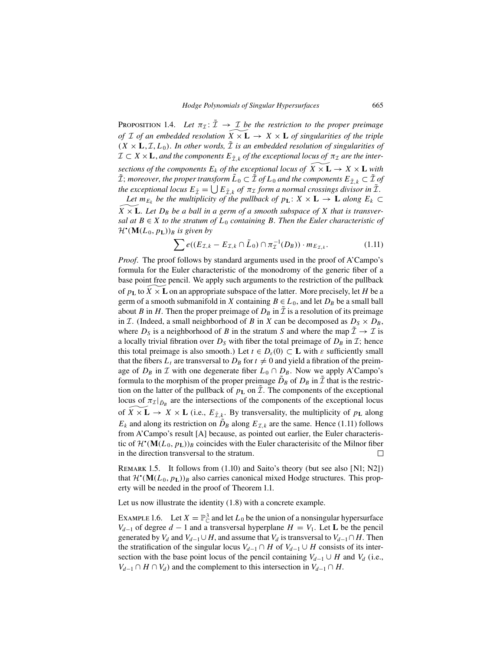PROPOSITION 1.4. Let  $\pi_{\mathcal{I}}: \tilde{\mathcal{I}} \to \mathcal{I}$  be the restriction to the proper preimage *of* I *of an embedded resolution*  $\overline{X} \times \mathbf{L} \rightarrow X \times \mathbf{L}$  *of singularities of the triple*  $(X \times L, \mathcal{I}, L_0)$ . In other words,  $\tilde{\mathcal{I}}$  is an embedded resolution of singularities of  $\mathcal{I} \subset X \times \mathbf{L}$ , *and the components*  $E_{\tilde{\tau},k}$  *of the exceptional locus of*  $\pi_{\mathcal{I}}$  *are the inter*sections of the components  $E_k$  of the exceptional locus of  $\widetilde{X} \times \mathbf{L} \to X \times \mathbf{L}$  with  $\tilde{\mathcal{I}}$ ; *moreover, the proper transform*  $\tilde{L}_0 \subset \tilde{\mathcal{I}}$  *of*  $L_0$  *and the components*  $E_{\tilde{\mathcal{I}}_k} \subset \tilde{\mathcal{I}}$  *of the exceptional locus*  $E_{\tilde{\tau}} = \bigcup E_{\tilde{\tau},k}$  *of*  $\pi_{\mathcal{I}}$  *form a normal crossings divisor in*  $\tilde{\tau}$ *.* 

*Let*  $m_{E_k}$  *be the multiplicity of the pullback of*  $p_L$ :  $X \times L \rightarrow L$  *along*  $E_k \subset$  $\widetilde{X} \times \mathbf{L}$ . Let  $D_B$  be a ball in a germ of a smooth subspace of  $X$  that is transver*sal at*  $B \in X$  *to the stratum of*  $L_0$  *containing* B. Then the Euler characteristic of  $\mathcal{H}^{\bullet}(\mathbf{M}(L_0, p_{\mathbf{L}}))_B$  is given by

$$
\sum e((E_{\mathcal{I},k} - E_{\mathcal{I},k} \cap \tilde{L}_0) \cap \pi_{\mathcal{I}}^{-1}(D_B)) \cdot m_{E_{\mathcal{I},k}}.
$$
 (1.11)

*Proof.* The proof follows by standard arguments used in the proof of A'Campo's formula for the Euler characteristic of the monodromy of the generic fiber of a base point free pencil. We apply such arguments to the restriction of the pullback of  $p_L$  to  $\widetilde{X} \times \widetilde{L}$  on an appropriate subspace of the latter. More precisely, let H be a germ of a smooth submanifold in X containing  $B \in L_0$ , and let  $D_B$  be a small ball about B in H. Then the proper preimage of  $D_B$  in  $\overline{\mathcal{I}}$  is a resolution of its preimage in *I*. (Indeed, a small neighborhood of *B* in *X* can be decomposed as  $D_S \times D_B$ , where  $D_s$  is a neighborhood of B in the stratum S and where the map  $\tilde{\mathcal{I}} \to \mathcal{I}$  is a locally trivial fibration over  $D<sub>S</sub>$  with fiber the total preimage of  $D<sub>B</sub>$  in  $\mathcal{I}$ ; hence this total preimage is also smooth.) Let  $t \in D_{\varepsilon}(0) \subset \mathbf{L}$  with  $\varepsilon$  sufficiently small that the fibers  $L_t$  are transversal to  $D_B$  for  $t \neq 0$  and yield a fibration of the preimage of  $D_B$  in  $\mathcal I$  with one degenerate fiber  $L_0 \cap D_B$ . Now we apply A'Campo's formula to the morphism of the proper preimage  $D_B$  of  $D_B$  in  $\bar{\mathcal{I}}$  that is the restriction on the latter of the pullback of  $p_L$  on  $\tilde{\mathcal{I}}$ . The components of the exceptional locus of  $\pi_I|_{\tilde{D}_B}$  are the intersections of the components of the exceptional locus of  $\widetilde{X} \times \mathbf{L} \to X \times \mathbf{L}$  (i.e.,  $E_{\tilde{\mathcal{I}},k}$ . By transversality, the multiplicity of  $p_{\mathbf{L}}$  along  $E_k$  and along its restriction on  $\tilde{D}_B$  along  $E_{L,k}$  are the same. Hence (1.11) follows from A'Campo's result [A] because, as pointed out earlier, the Euler characteristic of  $\mathcal{H}^{\bullet}(\mathbf{M}(L_0, p_{\mathbf{L}}))_B$  coincides with the Euler characterisitc of the Milnor fiber in the direction transversal to the stratum.  $\Box$ 

REMARK 1.5. It follows from  $(1.10)$  and Saito's theory (but see also [N1; N2]) that  $\mathcal{H}^{\bullet}(\mathbf{M}(L_0, p_{\mathbf{L}}))_B$  also carries canonical mixed Hodge structures. This property will be needed in the proof of Theorem 1.1.

Let us now illustrate the identity (1.8) with a concrete example.

EXAMPLE 1.6. Let  $X = \mathbb{P}^3_{\mathbb{C}}$  and let  $L_0$  be the union of a nonsingular hypersurface  $V_{d-1}$  of degree  $d-1$  and a transversal hyperplane  $H = V_1$ . Let **L** be the pencil generated by  $V_d$  and  $V_{d-1} \cup H$ , and assume that  $V_d$  is transversal to  $V_{d-1} \cap H$ . Then the stratification of the singular locus  $V_{d-1} \cap H$  of  $V_{d-1} \cup H$  consists of its intersection with the base point locus of the pencil containing  $V_{d-1} \cup H$  and  $V_d$  (i.e.,  $V_{d-1} \cap H \cap V_d$ ) and the complement to this intersection in  $V_{d-1} \cap H$ .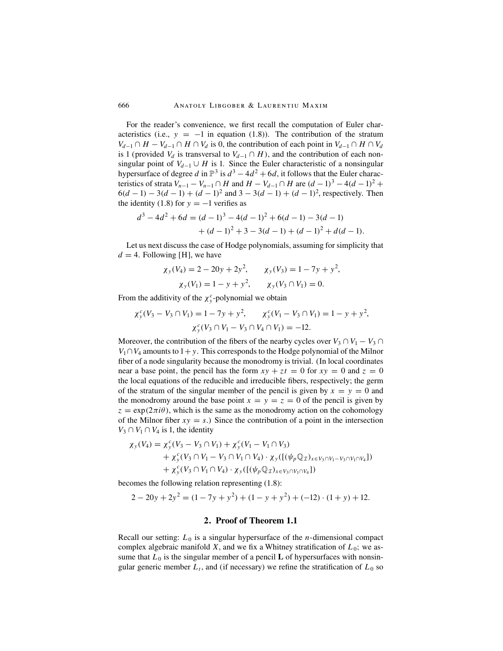For the reader's convenience, we first recall the computation of Euler characteristics (i.e.,  $y = -1$  in equation (1.8)). The contribution of the stratum  $V_{d-1} \cap H - V_{d-1} \cap H \cap V_d$  is 0, the contribution of each point in  $V_{d-1} \cap H \cap V_d$ is 1 (provided  $V_d$  is transversal to  $V_{d-1} \cap H$ ), and the contribution of each nonsingular point of  $V_{d-1} \cup H$  is 1. Since the Euler characteristic of a nonsingular hypersurface of degree d in  $\mathbb{P}^3$  is  $d^3 - 4d^2 + 6d$ , it follows that the Euler characteristics of strata  $V_{n-1} - V_{n-1} \cap H$  and  $H - V_{d-1} \cap H$  are  $(d-1)^3 - 4(d-1)^2 +$  $6(d-1) - 3(d-1) + (d-1)^2$  and  $3 - 3(d-1) + (d-1)^2$ , respectively. Then the identity (1.8) for  $y = -1$  verifies as

$$
d3-4d2+6d = (d - 1)3 - 4(d - 1)2 + 6(d - 1) - 3(d - 1)
$$
  
+ (d - 1)<sup>2</sup> + 3 - 3(d - 1) + (d - 1)<sup>2</sup> + d(d - 1).

Let us next discuss the case of Hodge polynomials, assuming for simplicity that  $d = 4$ . Following [H], we have

$$
\chi_y(V_4) = 2 - 20y + 2y^2, \qquad \chi_y(V_3) = 1 - 7y + y^2, \chi_y(V_1) = 1 - y + y^2, \qquad \chi_y(V_3 \cap V_1) = 0.
$$

From the additivity of the  $\chi^c$ -polynomial we obtain

$$
\chi_{y}^{c}(V_{3} - V_{3} \cap V_{1}) = 1 - 7y + y^{2}, \qquad \chi_{y}^{c}(V_{1} - V_{3} \cap V_{1}) = 1 - y + y^{2},
$$

$$
\chi_{y}^{c}(V_{3} \cap V_{1} - V_{3} \cap V_{4} \cap V_{1}) = -12.
$$

Moreover, the contribution of the fibers of the nearby cycles over  $V_3 \cap V_1 - V_3 \cap V_2$  $V_1 \cap V_4$  amounts to 1+y. This corresponds to the Hodge polynomial of the Milnor fiber of a node singularity because the monodromy is trivial. (In local coordinates near a base point, the pencil has the form  $xy + zt = 0$  for  $xy = 0$  and  $z = 0$ the local equations of the reducible and irreducible fibers, respectively; the germ of the stratum of the singular member of the pencil is given by  $x = y = 0$  and the monodromy around the base point  $x = y = z = 0$  of the pencil is given by  $z = \exp(2\pi i \theta)$ , which is the same as the monodromy action on the cohomology of the Milnor fiber  $xy = s$ .) Since the contribution of a point in the intersection  $V_3 \cap V_1 \cap V_4$  is 1, the identity

$$
\chi_{y}(V_{4}) = \chi_{y}^{c}(V_{3} - V_{3} \cap V_{1}) + \chi_{y}^{c}(V_{1} - V_{1} \cap V_{3}) \n+ \chi_{y}^{c}(V_{3} \cap V_{1} - V_{3} \cap V_{1} \cap V_{4}) \cdot \chi_{y}([\psi_{p} \mathbb{Q}_{\mathcal{I}})_{x \in V_{3} \cap V_{1} - V_{3} \cap V_{1} \cap V_{4}]) \n+ \chi_{y}^{c}(V_{3} \cap V_{1} \cap V_{4}) \cdot \chi_{y}([\psi_{p} \mathbb{Q}_{\mathcal{I}})_{x \in V_{3} \cap V_{1} \cap V_{4}])
$$

becomes the following relation representing (1.8):

$$
2 - 20y + 2y^{2} = (1 - 7y + y^{2}) + (1 - y + y^{2}) + (-12) \cdot (1 + y) + 12.
$$

## **2. Proof of Theorem 1.1**

Recall our setting:  $L_0$  is a singular hypersurface of the *n*-dimensional compact complex algebraic manifold X, and we fix a Whitney stratification of  $L_0$ ; we assume that  $L_0$  is the singular member of a pencil **L** of hypersurfaces with nonsingular generic member  $L_t$ , and (if necessary) we refine the stratification of  $L_0$  so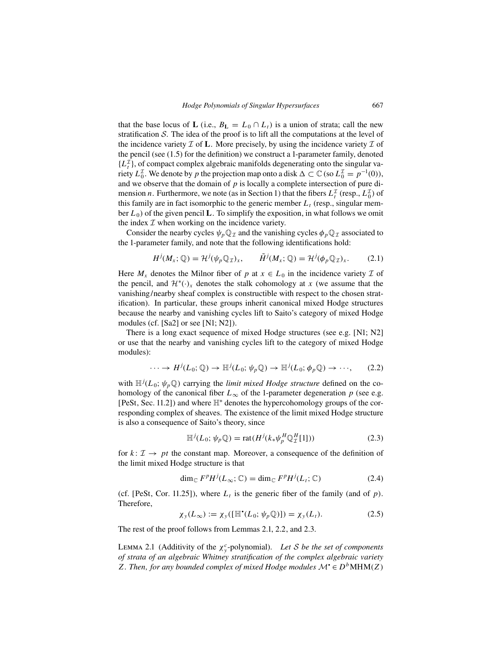that the base locus of **L** (i.e.,  $B_L = L_0 \cap L_t$ ) is a union of strata; call the new stratification  $S$ . The idea of the proof is to lift all the computations at the level of the incidence variety  $\mathcal I$  of **L**. More precisely, by using the incidence variety  $\mathcal I$  of the pencil (see (1.5) for the definition) we construct a 1-parameter family, denoted  $\{L_t^{\mathcal{I}}\}$ , of compact complex algebraic manifolds degenerating onto the singular variety  $L_0^{\mathcal{I}}$ . We denote by p the projection map onto a disk  $\Delta \subset \mathbb{C}$  (so  $L_0^{\mathcal{I}} = p^{-1}(0)$ ), and we observe that the domain of  $p$  is locally a complete intersection of pure dimension *n*. Furthermore, we note (as in Section 1) that the fibers  $L_t^{\perp}$  (resp.,  $L_0^{\perp}$ ) of this family are in fact isomorphic to the generic member  $L<sub>t</sub>$  (resp., singular member  $L_0$ ) of the given pencil **L**. To simplify the exposition, in what follows we omit the index  $I$  when working on the incidence variety.

Consider the nearby cycles  $\psi_p \mathbb{Q}_\mathcal{I}$  and the vanishing cycles  $\phi_p \mathbb{Q}_\mathcal{I}$  associated to the 1-parameter family, and note that the following identifications hold:

$$
H^{j}(M_{x};\mathbb{Q}) = \mathcal{H}^{j}(\psi_{p}\mathbb{Q}_{\mathcal{I}})_{x}, \qquad \tilde{H}^{j}(M_{x};\mathbb{Q}) = \mathcal{H}^{j}(\phi_{p}\mathbb{Q}_{\mathcal{I}})_{x}. \tag{2.1}
$$

Here  $M_x$  denotes the Milnor fiber of p at  $x \in L_0$  in the incidence variety T of the pencil, and  $\mathcal{H}^*(\cdot)_x$  denotes the stalk cohomology at x (we assume that the vanishing/nearby sheaf complex is constructible with respect to the chosen stratification). In particular, these groups inherit canonical mixed Hodge structures because the nearby and vanishing cycles lift to Saito's category of mixed Hodge modules (cf. [Sa2] or see [N1; N2]).

There is a long exact sequence of mixed Hodge structures (see e.g. [N1; N2] or use that the nearby and vanishing cycles lift to the category of mixed Hodge modules):

$$
\cdots \to H^{j}(L_0; \mathbb{Q}) \to \mathbb{H}^{j}(L_0; \psi_p \mathbb{Q}) \to \mathbb{H}^{j}(L_0; \phi_p \mathbb{Q}) \to \cdots,
$$
 (2.2)

with  $\mathbb{H}^{j}(L_0; \psi_p \mathbb{Q})$  carrying the *limit mixed Hodge structure* defined on the cohomology of the canonical fiber  $L_{\infty}$  of the 1-parameter degeneration p (see e.g. [PeSt, Sec. 11.2]) and where H<sup>∗</sup> denotes the hypercohomology groups of the corresponding complex of sheaves. The existence of the limit mixed Hodge structure is also a consequence of Saito's theory, since

$$
\mathbb{H}^j(L_0; \psi_p \mathbb{Q}) = \text{rat}(H^j(k_*\psi_p^H \mathbb{Q}_\mathcal{I}^H[1])) \tag{2.3}
$$

for  $k: \mathcal{I} \to pt$  the constant map. Moreover, a consequence of the definition of the limit mixed Hodge structure is that

$$
\dim_{\mathbb{C}} F^p H^j(L_\infty; \mathbb{C}) = \dim_{\mathbb{C}} F^p H^j(L_t; \mathbb{C}) \tag{2.4}
$$

(cf. [PeSt, Cor. 11.25]), where  $L_t$  is the generic fiber of the family (and of p). Therefore,

$$
\chi_{y}(L_{\infty}) := \chi_{y}([\mathbb{H}^{*}(L_{0}; \psi_{p}\mathbb{Q})]) = \chi_{y}(L_{t}). \tag{2.5}
$$

The rest of the proof follows from Lemmas 2.1, 2.2, and 2.3.

LEMMA 2.1 (Additivity of the  $\chi^c$ -polynomial). *Let S be the set of components of strata of an algebraic Whitney stratification of the complex algebraic variety* Z. Then, for any bounded complex of mixed Hodge modules  $\mathcal{M} \in D^b\text{MHM}(Z)$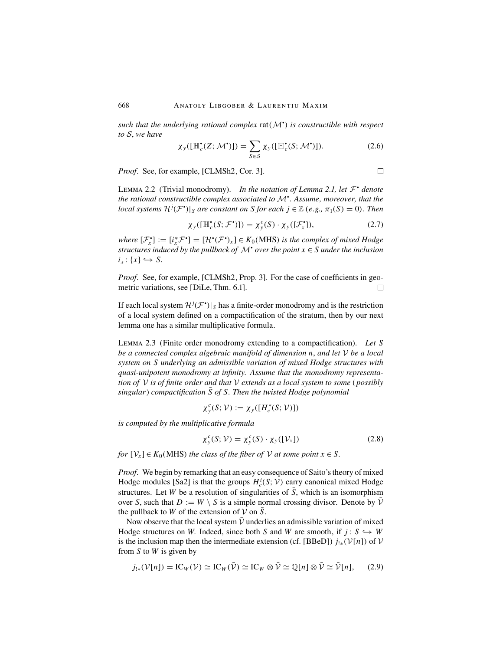*such that the underlying rational complex* rat(M• ) *is constructible with respect to* S, *we have*

$$
\chi_{\mathcal{Y}}([\mathbb{H}_c^{\bullet}(Z; \mathcal{M}^{\bullet})]) = \sum_{S \in \mathcal{S}} \chi_{\mathcal{Y}}([\mathbb{H}_c^{\bullet}(S; \mathcal{M}^{\bullet})]). \tag{2.6}
$$

*Proof.* See, for example, [CLMSh2, Cor. 3].

LEMMA 2.2 (Trivial monodromy). *In the notation of Lemma 2.1, let*  $\mathcal{F}^{\bullet}$  *denote the rational constructible complex associated to* M• . *Assume, moreover, that the local systems*  $\mathcal{H}^j(\mathcal{F}^{\bullet})|_S$  *are constant on S for each*  $j \in \mathbb{Z}$  (*e.g.,*  $\pi_1(S) = 0$ ). *Then* 

$$
\chi_{y}([\mathbb{H}_{c}^{\bullet}(S; \mathcal{F}^{\bullet})]) = \chi_{y}^{c}(S) \cdot \chi_{y}([\mathcal{F}_{x}^{\bullet}]), \qquad (2.7)
$$

*where*  $[\mathcal{F}_x^{\bullet}] := [i_x^* \mathcal{F}^{\bullet}] = [\mathcal{H}^{\bullet}(\mathcal{F}^{\bullet})_x] \in K_0(\text{MHS})$  *is the complex of mixed Hodge structures induced by the pullback of*  $\mathcal{M}^*$  *over the point*  $x \in S$  *under the inclusion*  $i_x: \{x\} \hookrightarrow S$ .

*Proof.* See, for example, [CLMSh2, Prop. 3]. For the case of coefficients in geometric variations, see [DiLe, Thm. 6.1].  $\Box$ 

If each local system  $\mathcal{H}^j(\mathcal{F}^{\bullet})|_S$  has a finite-order monodromy and is the restriction of a local system defined on a compactification of the stratum, then by our next lemma one has a similar multiplicative formula.

Lemma 2.3 (Finite order monodromy extending to a compactification). *Let* S *be a connected complex algebraic manifold of dimension* n, *and let* V *be a local system on* S *underlying an admissible variation of mixed Hodge structures with quasi-unipotent monodromy at infinity. Assume that the monodromy representation of* V *is of finite order and that* V *extends as a local system to some* ( *possibly*  $\bar{s}$  *singular*) *compactification*  $\bar{S}$  *of* S. *Then the twisted Hodge polynomial* 

$$
\chi^c_{\mathbf{y}}(S; \mathcal{V}) := \chi_{\mathbf{y}}([H^*_c(S; \mathcal{V})])
$$

*is computed by the multiplicative formula*

$$
\chi_y^c(S; \mathcal{V}) = \chi_y^c(S) \cdot \chi_y([\mathcal{V}_x]) \tag{2.8}
$$

*for*  $[\mathcal{V}_x] \in K_0(MHS)$  *the class of the fiber of*  $\mathcal{V}$  *at some point*  $x \in S$ *.* 

*Proof.* We begin by remarking that an easy consequence of Saito's theory of mixed Hodge modules [Sa2] is that the groups  $H_c^i(S; \mathcal{V})$  carry canonical mixed Hodge structures. Let W be a resolution of singularities of  $\overline{S}$ , which is an isomorphism over S, such that  $D := W \setminus S$  is a simple normal crossing divisor. Denote by  $\overline{V}$ the pullback to W of the extension of  $V$  on S.

Now observe that the local system  $V$  underlies an admissible variation of mixed Hodge structures on W. Indeed, since both S and W are smooth, if  $j: S \hookrightarrow W$ is the inclusion map then the intermediate extension (cf. [BBeD])  $j_{!*}(\mathcal{V}[n])$  of  $\mathcal{V}$ from  $S$  to  $W$  is given by

$$
j_{!*}(\mathcal{V}[n]) = \text{IC}_W(\mathcal{V}) \simeq \text{IC}_W(\bar{\mathcal{V}}) \simeq \text{IC}_W \otimes \bar{\mathcal{V}} \simeq \mathbb{Q}[n] \otimes \bar{\mathcal{V}} \simeq \bar{\mathcal{V}}[n], \qquad (2.9)
$$

 $\Box$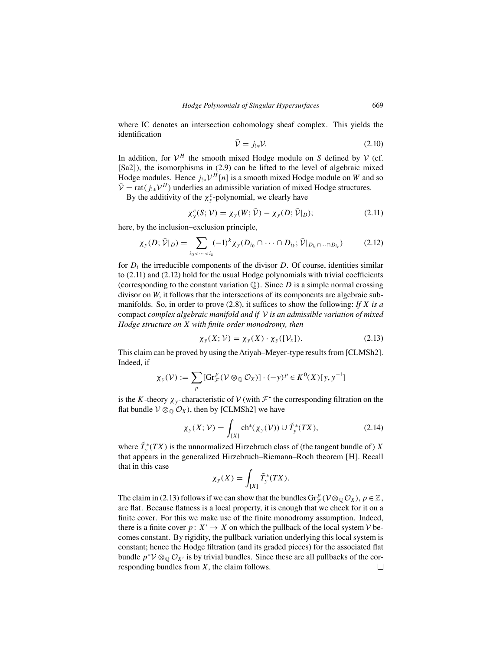where IC denotes an intersection cohomology sheaf complex. This yields the identification

$$
\bar{\mathcal{V}} = j_{!*} \mathcal{V}.
$$
\n(2.10)

In addition, for  $V^H$  the smooth mixed Hodge module on S defined by V (cf. [Sa2]), the isomorphisms in (2.9) can be lifted to the level of algebraic mixed Hodge modules. Hence  $j_{!*}\mathcal{V}^H[n]$  is a smooth mixed Hodge module on W and so  $\overline{\mathcal{V}}$  = rat( $j_{!*}\mathcal{V}^H$ ) underlies an admissible variation of mixed Hodge structures.

By the additivity of the  $\chi^c$ -polynomial, we clearly have

$$
\chi_y^c(S; \mathcal{V}) = \chi_y(W; \bar{\mathcal{V}}) - \chi_y(D; \bar{\mathcal{V}}|_D); \tag{2.11}
$$

here, by the inclusion–exclusion principle,

$$
\chi_{\mathcal{Y}}(D; \bar{\mathcal{V}}|_D) = \sum_{i_0 < \dots < i_k} (-1)^k \chi_{\mathcal{Y}}(D_{i_0} \cap \dots \cap D_{i_k}; \bar{\mathcal{V}}|_{D_{i_0} \cap \dots \cap D_{i_k}}) \tag{2.12}
$$

for  $D_i$  the irreducible components of the divisor D. Of course, identities similar to (2.11) and (2.12) hold for the usual Hodge polynomials with trivial coefficients (corresponding to the constant variation  $\mathbb{Q}$ ). Since D is a simple normal crossing divisor on W, it follows that the intersections of its components are algebraic submanifolds. So, in order to prove (2.8), it suffices to show the following: *If* X *is a* compact *complex algebraic manifold and if* V *is an admissible variation of mixed Hodge structure on* X *with finite order monodromy, then*

$$
\chi_{y}(X; \mathcal{V}) = \chi_{y}(X) \cdot \chi_{y}([\mathcal{V}_{X}]). \tag{2.13}
$$

This claim can be proved by using theAtiyah–Meyer-type results from [CLMSh2]. Indeed, if

$$
\chi_{y}(\mathcal{V}) := \sum_{p} [\mathrm{Gr}_{\mathcal{F}}^{p}(\mathcal{V} \otimes_{\mathbb{Q}} \mathcal{O}_{X})] \cdot (-y)^{p} \in K^{0}(X)[y, y^{-1}]
$$

is the K-theory  $\chi_{v}$ -characteristic of V (with  $\mathcal{F}^{\bullet}$  the corresponding filtration on the flat bundle  $V \otimes_{\mathbb{Q}} \mathcal{O}_X$ , then by [CLMSh2] we have

$$
\chi_{\mathcal{Y}}(X; \mathcal{V}) = \int_{[X]} \operatorname{ch}^*(\chi_{\mathcal{Y}}(\mathcal{V})) \cup \tilde{T}_{\mathcal{Y}}^*(TX), \tag{2.14}
$$

where  $\tilde{T}_y^*(TX)$  is the unnormalized Hirzebruch class of (the tangent bundle of) X that appears in the generalized Hirzebruch–Riemann–Roch theorem [H]. Recall that in this case

$$
\chi_{y}(X) = \int_{[X]} \tilde{T}_{y}^{*}(TX).
$$

The claim in (2.13) follows if we can show that the bundles  $Gr_{\mathcal{F}}^p(\mathcal{V} \otimes_{\mathbb{Q}} \mathcal{O}_X)$ ,  $p \in \mathbb{Z}$ , are flat. Because flatness is a local property, it is enough that we check for it on a finite cover. For this we make use of the finite monodromy assumption. Indeed, there is a finite cover  $p: X' \to X$  on which the pullback of the local system V becomes constant. By rigidity, the pullback variation underlying this local system is constant; hence the Hodge filtration (and its graded pieces) for the associated flat bundle  $p^*V \otimes_{\mathbb{Q}} \mathcal{O}_{X'}$  is by trivial bundles. Since these are all pullbacks of the corresponding bundles from X, the claim follows. responding bundles from X, the claim follows.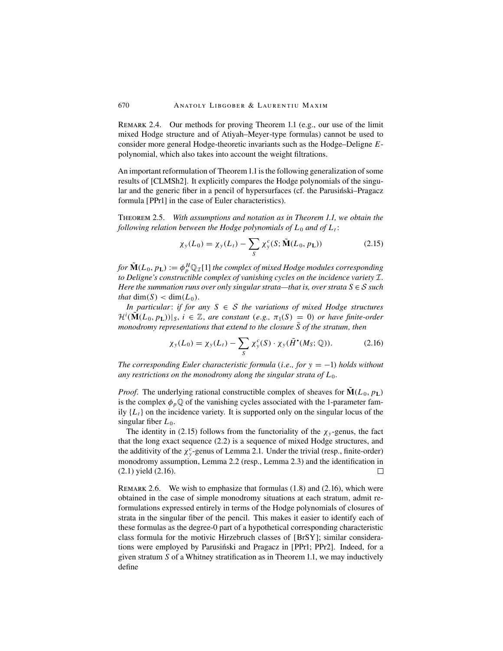Remark 2.4. Our methods for proving Theorem 1.1 (e.g., our use of the limit mixed Hodge structure and of Atiyah–Meyer-type formulas) cannot be used to consider more general Hodge-theoretic invariants such as the Hodge–Deligne Epolynomial, which also takes into account the weight filtrations.

An important reformulation of Theorem 1.1 is the following generalization of some results of [CLMSh2]. It explicitly compares the Hodge polynomials of the singular and the generic fiber in a pencil of hypersurfaces (cf. the Parusinski–Pragacz formula [PPr1] in the case of Euler characteristics).

Theorem 2.5. *With assumptions and notation as in Theorem 1.1, we obtain the following relation between the Hodge polynomials of*  $L_0$  *and of*  $L_t$ :

$$
\chi_{y}(L_0) = \chi_{y}(L_t) - \sum_{S} \chi_{y}^{c}(S; \tilde{\mathbf{M}}(L_0, p_{\mathbf{L}}))
$$
\n(2.15)

*for*  $\tilde{\bf{M}}(L_0, p_{\bf L}) := \phi_p^H \mathbb{Q}_{\mathcal{I}}[1]$  *the complex of mixed Hodge modules corresponding to Deligne's constructible complex of vanishing cycles on the incidence variety* I. *Here the summation runs over only singular strata—that is, over strata*  $S \in S$  *such that* dim(S) < dim( $L_0$ ).

*In particular*: *if for any* S ∈ S *the variations of mixed Hodge structures*  $\mathcal{H}^i(\tilde{\mathbf{M}}(L_0, p_{\mathbf{L}}))|_{S}, i \in \mathbb{Z}$ , are constant (e.g.,  $\pi_1(S) = 0$ ) or have finite-order *monodromy representations that extend to the closure* S of the stratum, then

$$
\chi_{y}(L_0) = \chi_{y}(L_t) - \sum_{S} \chi_{y}^{c}(S) \cdot \chi_{y}(\tilde{H}^{\bullet}(M_S; \mathbb{Q})). \tag{2.16}
$$

*The corresponding Euler characteristic formula* (*i.e., for* y = −1) *holds without* any restrictions on the monodromy along the singular strata of  $L_0$ .

*Proof.* The underlying rational constructible complex of sheaves for  $\mathbf{M}(L_0, p_{\text{L}})$ is the complex  $\phi_p \mathbb{Q}$  of the vanishing cycles associated with the 1-parameter family  $\{L_t\}$  on the incidence variety. It is supported only on the singular locus of the singular fiber  $L_0$ .

The identity in (2.15) follows from the functoriality of the  $\chi_y$ -genus, the fact that the long exact sequence (2.2) is a sequence of mixed Hodge structures, and the additivity of the  $\chi^c$ -genus of Lemma 2.1. Under the trivial (resp., finite-order) monodromy assumption, Lemma 2.2 (resp., Lemma 2.3) and the identification in (2.1) yield (2.16).  $\Box$ 

REMARK 2.6. We wish to emphasize that formulas  $(1.8)$  and  $(2.16)$ , which were obtained in the case of simple monodromy situations at each stratum, admit reformulations expressed entirely in terms of the Hodge polynomials of closures of strata in the singular fiber of the pencil. This makes it easier to identify each of these formulas as the degree-0 part of a hypothetical corresponding characteristic class formula for the motivic Hirzebruch classes of [BrSY]; similar considerations were employed by Parusinski and Pragacz in [PPr1; PPr2]. Indeed, for a given stratum  $S$  of a Whitney stratification as in Theorem 1.1, we may inductively define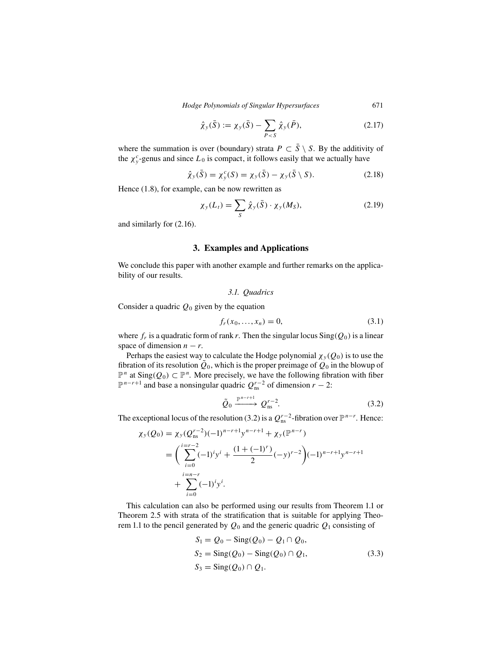$$
\hat{\chi}_y(\bar{S}) := \chi_y(\bar{S}) - \sum_{P < S} \hat{\chi}_y(\bar{P}),\tag{2.17}
$$

where the summation is over (boundary) strata  $P \subset \overline{S} \setminus S$ . By the additivity of the  $\chi^c$ -genus and since  $L_0$  is compact, it follows easily that we actually have

$$
\hat{\chi}_y(\bar{S}) = \chi_y^c(S) = \chi_y(\bar{S}) - \chi_y(\bar{S} \setminus S). \tag{2.18}
$$

Hence (1.8), for example, can be now rewritten as

$$
\chi_{y}(L_t) = \sum_{S} \hat{\chi}_{y}(\bar{S}) \cdot \chi_{y}(M_S), \qquad (2.19)
$$

and similarly for (2.16).

## **3. Examples and Applications**

We conclude this paper with another example and further remarks on the applicability of our results.

*3.1. Quadrics*

Consider a quadric  $Q_0$  given by the equation

$$
f_r(x_0, ..., x_n) = 0,
$$
\n(3.1)

where  $f_r$  is a quadratic form of rank r. Then the singular locus  $\text{Sing}(Q_0)$  is a linear space of dimension  $n - r$ .

Perhaps the easiest way to calculate the Hodge polynomial  $\chi_{\nu}(Q_0)$  is to use the fibration of its resolution  $\tilde{Q}_0$ , which is the proper preimage of  $Q_0$  in the blowup of  $\mathbb{P}^n$  at Sing( $Q_0$ )  $\subset \mathbb{P}^n$ . More precisely, we have the following fibration with fiber  $\mathbb{P}^{n-r+1}$  and base a nonsingular quadric  $Q_{\text{ns}}^{r-2}$  of dimension  $r - 2$ :

$$
\tilde{Q}_0 \xrightarrow{\mathbb{P}^{n-r+1}} Q_{\text{ns}}^{r-2}.
$$
\n(3.2)

The exceptional locus of the resolution (3.2) is a  $Q_{\text{ns}}^{r-2}$ -fibration over  $\mathbb{P}^{n-r}$ . Hence:

$$
\chi_{y}(Q_{0}) = \chi_{y}(Q_{\text{ns}}^{r-2})(-1)^{n-r+1}y^{n-r+1} + \chi_{y}(\mathbb{P}^{n-r})
$$
  
= 
$$
\left(\sum_{i=0}^{i=r-2}(-1)^{i}y^{i} + \frac{(1+(-1)^{r})}{2}(-y)^{r-2}\right)(-1)^{n-r+1}y^{n-r+1} + \sum_{i=0}^{i=n-r}(-1)^{i}y^{i}.
$$

This calculation can also be performed using our results from Theorem 1.1 or Theorem 2.5 with strata of the stratification that is suitable for applying Theorem 1.1 to the pencil generated by  $Q_0$  and the generic quadric  $Q_1$  consisting of

$$
S_1 = Q_0 - \text{Sing}(Q_0) - Q_1 \cap Q_0,
$$
  
\n
$$
S_2 = \text{Sing}(Q_0) - \text{Sing}(Q_0) \cap Q_1,
$$
  
\n
$$
S_3 = \text{Sing}(Q_0) \cap Q_1.
$$
\n(3.3)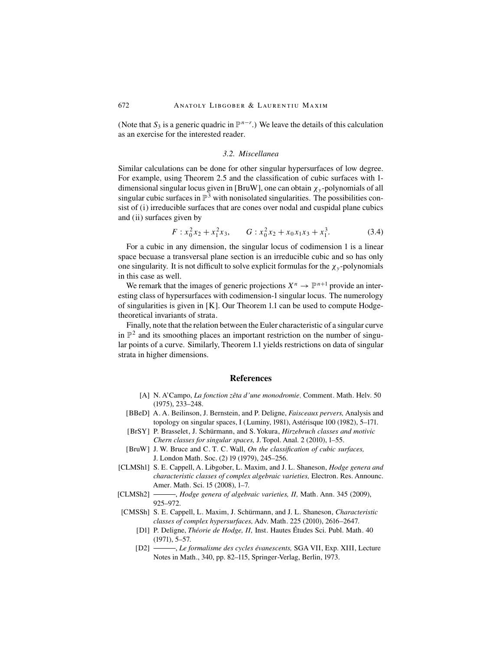(Note that  $S_3$  is a generic quadric in  $\mathbb{P}^{n-r}$ .) We leave the details of this calculation as an exercise for the interested reader.

## *3.2. Miscellanea*

Similar calculations can be done for other singular hypersurfaces of low degree. For example, using Theorem 2.5 and the classification of cubic surfaces with 1 dimensional singular locus given in [BruW], one can obtain  $\chi_{v}$ -polynomials of all singular cubic surfaces in  $\mathbb{P}^3$  with nonisolated singularities. The possibilities consist of (i) irreducible surfaces that are cones over nodal and cuspidal plane cubics and (ii) surfaces given by

$$
F: x_0^2 x_2 + x_1^2 x_3, \qquad G: x_0^2 x_2 + x_0 x_1 x_3 + x_1^3. \tag{3.4}
$$

For a cubic in any dimension, the singular locus of codimension 1 is a linear space becuase a transversal plane section is an irreducible cubic and so has only one singularity. It is not difficult to solve explicit formulas for the  $\chi_{v}$ -polynomials in this case as well.

We remark that the images of generic projections  $X^n \to \mathbb{P}^{n+1}$  provide an interesting class of hypersurfaces with codimension-1 singular locus. The numerology of singularities is given in [K]. Our Theorem 1.1 can be used to compute Hodgetheoretical invariants of strata.

Finally, note that the relation between the Euler characteristic of a singular curve in  $\mathbb{P}^2$  and its smoothing places an important restriction on the number of singular points of a curve. Similarly, Theorem 1.1 yields restrictions on data of singular strata in higher dimensions.

### **References**

- [A] N. A'Campo, *La fonction zêta d'une monodromie*, Comment. Math. Helv. 50 (1975), 233–248.
- [BBeD] A. A. Beilinson, J. Bernstein, and P. Deligne, *Faisceaux pervers,* Analysis and topology on singular spaces, I (Luminy, 1981), Astérisque 100 (1982), 5–171.
- [BrSY] P. Brasselet, J. Schürmann, and S. Yokura, *Hirzebruch classes and motivic Chern classes for singular spaces,* J. Topol. Anal. 2 (2010), 1–55.
- [BruW] J. W. Bruce and C. T. C. Wall, *On the classification of cubic surfaces,* J. London Math. Soc. (2) 19 (1979), 245–256.
- [CLMSh1] S. E. Cappell, A. Libgober, L. Maxim, and J. L. Shaneson, *Hodge genera and characteristic classes of complex algebraic varieties,* Electron. Res. Announc. Amer. Math. Sci. 15 (2008), 1–7.
- [CLMSh2] , *Hodge genera of algebraic varieties, II,* Math. Ann. 345 (2009), 925–972.
- [CMSSh] S. E. Cappell, L. Maxim, J. Schürmann, and J. L. Shaneson, *Characteristic classes of complex hypersurfaces,* Adv. Math. 225 (2010), 2616–2647.
	- [D1] P. Deligne, *Théorie de Hodge, II,* Inst. Hautes Études Sci. Publ. Math. 40 (1971), 5–57.
	- [D2] , *Le formalisme des cycles évanescents,* SGA VII, Exp. XIII, Lecture Notes in Math., 340, pp. 82–115, Springer-Verlag, Berlin, 1973.